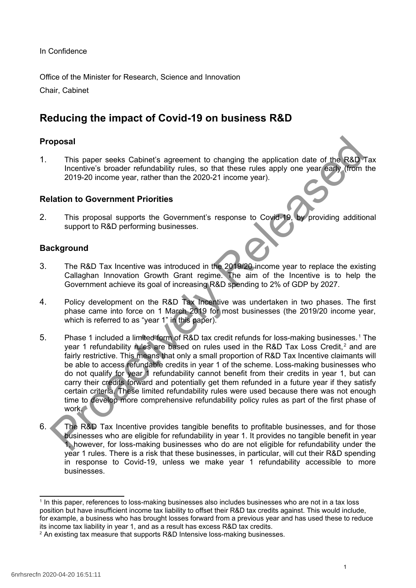In Confidence

Office of the Minister for Research, Science and Innovation Chair, Cabinet

# **Reducing the impact of Covid-19 on business R&D**

# **Proposal**

1. This paper seeks Cabinet's agreement to changing the application date of the R&D Tax Incentive's broader refundability rules, so that these rules apply one year early (from the 2019-20 income year, rather than the 2020-21 income year).

### **Relation to Government Priorities**

2. This proposal supports the Government's response to Covid-19, by providing additional support to R&D performing businesses.

### **Background**

- 3. The R&D Tax Incentive was introduced in the 2019/20 income year to replace the existing Callaghan Innovation Growth Grant regime. The aim of the Incentive is to help the Government achieve its goal of increasing R&D spending to 2% of GDP by 2027.
- 4. Policy development on the R&D Tax Incentive was undertaken in two phases. The first phase came into force on 1 March 2019 for most businesses (the 2019/20 income year, which is referred to as "year 1" in this paper).
- 5. Phase 1 included a limited form of R&D tax credit refunds for loss-making businesses.<sup>1</sup> The year 1 refundability rules are based on rules used in the R&D Tax Loss Credit,<sup>2</sup> and are fairly restrictive. This means that only a small proportion of R&D Tax Incentive claimants will be able to access refundable credits in year 1 of the scheme. Loss-making businesses who do not qualify for year 1 refundability cannot benefit from their credits in year 1, but can carry their credits forward and potentially get them refunded in a future year if they satisfy certain criteria. These limited refundability rules were used because there was not enough time to develop more comprehensive refundability policy rules as part of the first phase of work. **This paper seeks Cabinet's agreement to changing the application date of the R&D<br>Incentive's broader refundability rules, so that these rules apply one year early.<br>
2019-20 income year, rather than the 2020-21 income year**
- 6. The R&D Tax Incentive provides tangible benefits to profitable businesses, and for those businesses who are eligible for refundability in year 1. It provides no tangible benefit in year 1, however, for loss-making businesses who do are not eligible for refundability under the year 1 rules. There is a risk that these businesses, in particular, will cut their R&D spending in response to Covid-19, unless we make year 1 refundability accessible to more businesses.

<span id="page-0-0"></span><sup>&</sup>lt;sup>1</sup> In this paper, references to loss-making businesses also includes businesses who are not in a tax loss position but have insufficient income tax liability to offset their R&D tax credits against. This would include, for example, a business who has brought losses forward from a previous year and has used these to reduce its income tax liability in year 1, and as a result has excess R&D tax credits.

<span id="page-0-1"></span><sup>&</sup>lt;sup>2</sup> An existing tax measure that supports R&D Intensive loss-making businesses.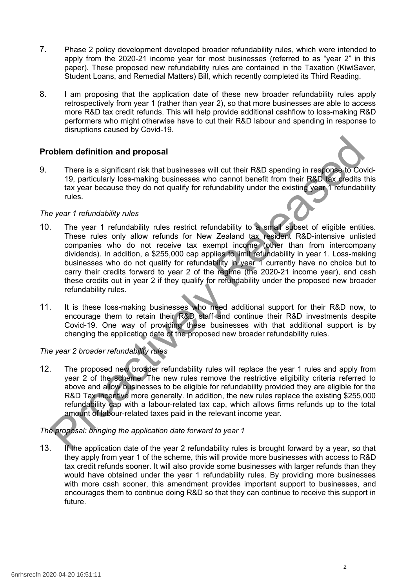- 7. Phase 2 policy development developed broader refundability rules, which were intended to apply from the 2020-21 income year for most businesses (referred to as "year 2" in this paper). These proposed new refundability rules are contained in the Taxation (KiwiSaver, Student Loans, and Remedial Matters) Bill, which recently completed its Third Reading.
- 8. I am proposing that the application date of these new broader refundability rules apply retrospectively from year 1 (rather than year 2), so that more businesses are able to access more R&D tax credit refunds. This will help provide additional cashflow to loss-making R&D performers who might otherwise have to cut their R&D labour and spending in response to disruptions caused by Covid-19.

### **Problem definition and proposal**

9. There is a significant risk that businesses will cut their R&D spending in response to Covid-19, particularly loss-making businesses who cannot benefit from their R&D tax credits this tax year because they do not qualify for refundability under the existing year 1 refundability rules.

#### *The year 1 refundability rules*

- 10. The year 1 refundability rules restrict refundability to a small subset of eligible entities. These rules only allow refunds for New Zealand tax resident R&D-intensive unlisted companies who do not receive tax exempt income (other than from intercompany dividends). In addition, a \$255,000 cap applies to limit refundability in year 1. Loss-making businesses who do not qualify for refundability in year 1 currently have no choice but to carry their credits forward to year 2 of the regime (the 2020-21 income year), and cash these credits out in year 2 if they qualify for refundability under the proposed new broader refundability rules. by the and the proposal There is a significant risk that businesses will cut their R&D spending in response to Conditation of the system businesses will cut their R&D spending in response to Conditation and the proposal to
- 11. It is these loss-making businesses who need additional support for their R&D now, to encourage them to retain their R&D staff and continue their R&D investments despite Covid-19. One way of providing these businesses with that additional support is by changing the application date of the proposed new broader refundability rules.

## *The year 2 broader refundability rules*

12. The proposed new broader refundability rules will replace the year 1 rules and apply from year 2 of the scheme. The new rules remove the restrictive eligibility criteria referred to above and allow businesses to be eligible for refundability provided they are eligible for the R&D Tax Incentive more generally. In addition, the new rules replace the existing \$255,000 refundability cap with a labour-related tax cap, which allows firms refunds up to the total amount of labour-related taxes paid in the relevant income year.

*The proposal: bringing the application date forward to year 1*

13. If the application date of the year 2 refundability rules is brought forward by a year, so that they apply from year 1 of the scheme, this will provide more businesses with access to R&D tax credit refunds sooner. It will also provide some businesses with larger refunds than they would have obtained under the year 1 refundability rules. By providing more businesses with more cash sooner, this amendment provides important support to businesses, and encourages them to continue doing R&D so that they can continue to receive this support in future.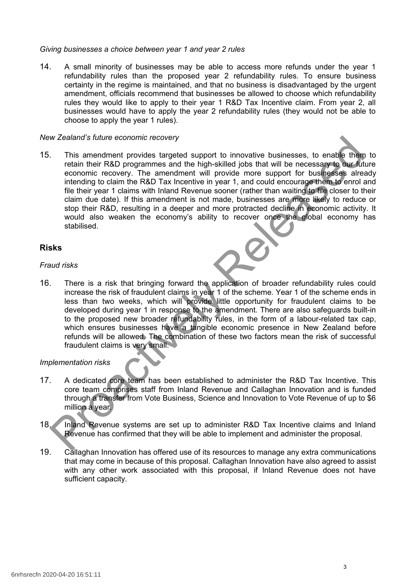#### *Giving businesses a choice between year 1 and year 2 rules*

14. A small minority of businesses may be able to access more refunds under the year 1 refundability rules than the proposed year 2 refundability rules. To ensure business certainty in the regime is maintained, and that no business is disadvantaged by the urgent amendment, officials recommend that businesses be allowed to choose which refundability rules they would like to apply to their year 1 R&D Tax Incentive claim. From year 2, all businesses would have to apply the year 2 refundability rules (they would not be able to choose to apply the year 1 rules).

#### *New Zealand's future economic recovery*

15. This amendment provides targeted support to innovative businesses, to enable them to retain their R&D programmes and the high-skilled jobs that will be necessary to our future economic recovery. The amendment will provide more support for businesses already intending to claim the R&D Tax Incentive in year 1, and could encourage them to enrol and file their year 1 claims with Inland Revenue sooner (rather than waiting to file closer to their claim due date). If this amendment is not made, businesses are more likely to reduce or stop their R&D, resulting in a deeper and more protracted decline in economic activity. It would also weaken the economy's ability to recover once the global economy has stabilised. w cealand studies economic recovery<br>
This amendment provides targeted support to innovative businesses, to enable them<br>
tretain their R&D programmes and the high-skilled jobs that will be necessary to our for<br>
reconomic re

#### **Risks**

#### *Fraud risks*

16. There is a risk that bringing forward the application of broader refundability rules could increase the risk of fraudulent claims in year 1 of the scheme. Year 1 of the scheme ends in less than two weeks, which will provide little opportunity for fraudulent claims to be developed during year 1 in response to the amendment. There are also safeguards built-in to the proposed new broader refundability rules, in the form of a labour-related tax cap, which ensures businesses have a tangible economic presence in New Zealand before refunds will be allowed. The combination of these two factors mean the risk of successful fraudulent claims is very small.

#### *Implementation risks*

- 17. A dedicated core team has been established to administer the R&D Tax Incentive. This core team comprises staff from Inland Revenue and Callaghan Innovation and is funded through a transfer from Vote Business, Science and Innovation to Vote Revenue of up to \$6 million a year.
- 18. Inland Revenue systems are set up to administer R&D Tax Incentive claims and Inland Revenue has confirmed that they will be able to implement and administer the proposal.
- 19. Callaghan Innovation has offered use of its resources to manage any extra communications that may come in because of this proposal. Callaghan Innovation have also agreed to assist with any other work associated with this proposal, if Inland Revenue does not have sufficient capacity.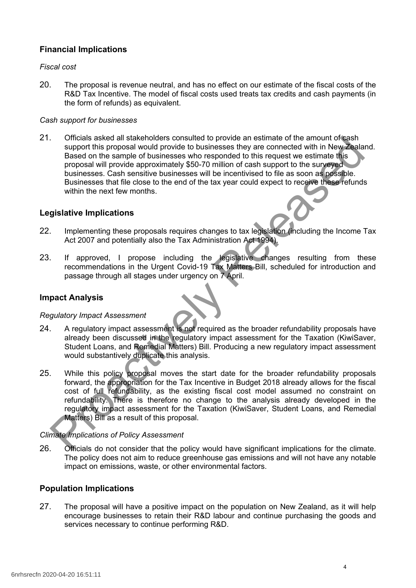# **Financial Implications**

#### *Fiscal cost*

20. The proposal is revenue neutral, and has no effect on our estimate of the fiscal costs of the R&D Tax Incentive. The model of fiscal costs used treats tax credits and cash payments (in the form of refunds) as equivalent.

#### *Cash support for businesses*

21. Officials asked all stakeholders consulted to provide an estimate of the amount of cash support this proposal would provide to businesses they are connected with in New Zealand. Based on the sample of businesses who responded to this request we estimate this proposal will provide approximately \$50-70 million of cash support to the surveyed businesses. Cash sensitive businesses will be incentivised to file as soon as possible. Businesses that file close to the end of the tax year could expect to receive these refunds within the next few months. Officials a sked all stateholders consulted to provide an estimate of the amount of again<br>typend this proposal will provide to businesses they are connected with in New Zeala<br>Based on the sample of businesses who responded

#### **Legislative Implications**

- 22. Implementing these proposals requires changes to tax legislation (including the Income Tax Act 2007 and potentially also the Tax Administration Act 1994).
- 23. If approved, I propose including the legislative changes resulting from these recommendations in the Urgent Covid-19 Tax Matters Bill, scheduled for introduction and passage through all stages under urgency on 7 April.

#### **Impact Analysis**

#### *Regulatory Impact Assessment*

- 24. A regulatory impact assessment is not required as the broader refundability proposals have already been discussed in the regulatory impact assessment for the Taxation (KiwiSaver, Student Loans, and Remedial Matters) Bill. Producing a new regulatory impact assessment would substantively duplicate this analysis.
- 25. While this policy proposal moves the start date for the broader refundability proposals forward, the appropriation for the Tax Incentive in Budget 2018 already allows for the fiscal cost of full refundability, as the existing fiscal cost model assumed no constraint on refundability. There is therefore no change to the analysis already developed in the regulatory impact assessment for the Taxation (KiwiSaver, Student Loans, and Remedial Matters) Bill as a result of this proposal.

#### *Climate Implications of Policy Assessment*

26. Officials do not consider that the policy would have significant implications for the climate. The policy does not aim to reduce greenhouse gas emissions and will not have any notable impact on emissions, waste, or other environmental factors.

#### **Population Implications**

27. The proposal will have a positive impact on the population on New Zealand, as it will help encourage businesses to retain their R&D labour and continue purchasing the goods and services necessary to continue performing R&D.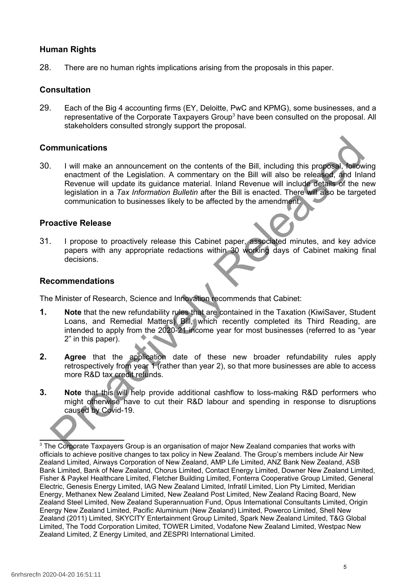#### **Human Rights**

28. There are no human rights implications arising from the proposals in this paper.

#### **Consultation**

29. Each of the Big 4 accounting firms (EY, Deloitte, PwC and KPMG), some businesses, and a representative of the Corporate Taxpayers Group<sup>[3](#page-4-0)</sup> have been consulted on the proposal. All stakeholders consulted strongly support the proposal.

#### **Communications**

30. I will make an announcement on the contents of the Bill, including this proposal, following enactment of the Legislation. A commentary on the Bill will also be released, and Inland Revenue will update its guidance material. Inland Revenue will include details of the new legislation in a *Tax Information Bulletin* after the Bill is enacted. There will also be targeted communication to businesses likely to be affected by the amendment. **Internal of the Legislation American** in the contents of the Bill, including this proposal. **Nell**<br>
enactment of the Legislation. A commentary on the Bill will also be released, and Inkin<br>
Revenue will update its guidanc

#### **Proactive Release**

31. I propose to proactively release this Cabinet paper, associated minutes, and key advice papers with any appropriate redactions within 30 working days of Cabinet making final decisions.

#### **Recommendations**

The Minister of Research, Science and Innovation recommends that Cabinet:

- **1. Note** that the new refundability rules that are contained in the Taxation (KiwiSaver, Student Loans, and Remedial Matters) Bill, which recently completed its Third Reading, are intended to apply from the 2020-21 income year for most businesses (referred to as "year 2" in this paper).
- **2. Agree** that the application date of these new broader refundability rules apply retrospectively from year 1 (rather than year 2), so that more businesses are able to access more R&D tax credit refunds.
- **3. Note** that this will help provide additional cashflow to loss-making R&D performers who might otherwise have to cut their R&D labour and spending in response to disruptions caused by Covid-19.

<span id="page-4-0"></span> $3$  The Corporate Taxpayers Group is an organisation of major New Zealand companies that works with officials to achieve positive changes to tax policy in New Zealand. The Group's members include Air New Zealand Limited, Airways Corporation of New Zealand, AMP Life Limited, ANZ Bank New Zealand, ASB Bank Limited, Bank of New Zealand, Chorus Limited, Contact Energy Limited, Downer New Zealand Limited, Fisher & Paykel Healthcare Limited, Fletcher Building Limited, Fonterra Cooperative Group Limited, General Electric, Genesis Energy Limited, IAG New Zealand Limited, Infratil Limited, Lion Pty Limited, Meridian Energy, Methanex New Zealand Limited, New Zealand Post Limited, New Zealand Racing Board, New Zealand Steel Limited, New Zealand Superannuation Fund, Opus International Consultants Limited, Origin Energy New Zealand Limited, Pacific Aluminium (New Zealand) Limited, Powerco Limited, Shell New Zealand (2011) Limited, SKYCITY Entertainment Group Limited, Spark New Zealand Limited, T&G Global Limited, The Todd Corporation Limited, TOWER Limited, Vodafone New Zealand Limited, Westpac New Zealand Limited, Z Energy Limited, and ZESPRI International Limited.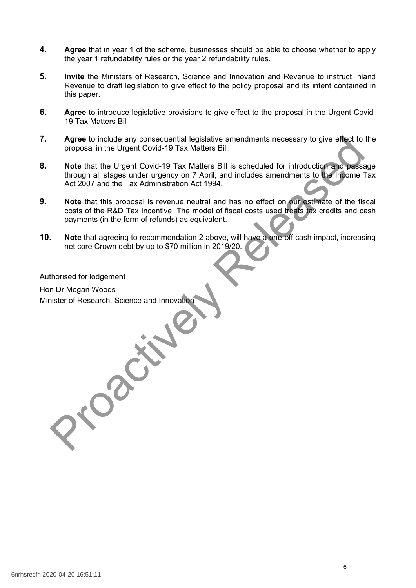- **4. Agree** that in year 1 of the scheme, businesses should be able to choose whether to apply the year 1 refundability rules or the year 2 refundability rules.
- **5. Invite** the Ministers of Research, Science and Innovation and Revenue to instruct Inland Revenue to draft legislation to give effect to the policy proposal and its intent contained in this paper.
- **6. Agree** to introduce legislative provisions to give effect to the proposal in the Urgent Covid-19 Tax Matters Bill.
- **7. Agree** to include any consequential legislative amendments necessary to give effect to the proposal in the Urgent Covid-19 Tax Matters Bill.
- **8. Note** that the Urgent Covid-19 Tax Matters Bill is scheduled for introduction and passage through all stages under urgency on 7 April, and includes amendments to the Income Tax Act 2007 and the Tax Administration Act 1994. Agree to include any consequential legislative amendments necessary to give effect to<br>proposal in the Urgent Covid-19 Tax Matters Bill. is scheduled for introduction and passes<br>through all stages under urgency on 7 April,
- **9. Note** that this proposal is revenue neutral and has no effect on our estimate of the fiscal costs of the R&D Tax Incentive. The model of fiscal costs used treats tax credits and cash payments (in the form of refunds) as equivalent.
- **10. Note** that agreeing to recommendation 2 above, will have a one-off cash impact, increasing net core Crown debt by up to \$70 million in 2019/20.

Authorised for lodgement

Hon Dr Megan Woods Minister of Research, Science and Innovation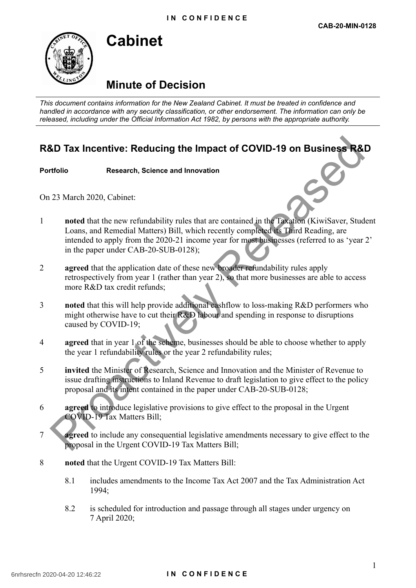# **Minute of Decision**

*This document contains information for the New Zealand Cabinet. It must be treated in confidence and handled in accordance with any security classification, or other endorsement. The information can only be released, including under the Official Information Act 1982, by persons with the appropriate authority.*

# **R&D Tax Incentive: Reducing the Impact of COVID-19 on Business R&D**

#### **Portfolio Research, Science and Innovation**

**Cabinet**

On 23 March 2020, Cabinet:

- 1 **noted** that the new refundability rules that are contained in the Taxation (KiwiSaver, Student Loans, and Remedial Matters) Bill, which recently completed its Third Reading, are intended to apply from the 2020-21 income year for most businesses (referred to as 'year 2' in the paper under CAB-20-SUB-0128); **SD Tax Incentive: Reducing the Impact of COVID-19 on Business R&<br>
trolio Research, Science and Innovation<br>
23 March 2020, Cabinct:<br>
noted that the new refundability rules that are contained in the Twulton (KiwiSaver, Stu**
- 2 **agreed** that the application date of these new broader refundability rules apply retrospectively from year 1 (rather than year 2), so that more businesses are able to access more R&D tax credit refunds;
- 3 **noted** that this will help provide additional cashflow to loss-making R&D performers who might otherwise have to cut their R&D labour and spending in response to disruptions caused by COVID-19;
- 4 **agreed** that in year 1 of the scheme, businesses should be able to choose whether to apply the year 1 refundability rules or the year 2 refundability rules;
- 5 **invited** the Minister of Research, Science and Innovation and the Minister of Revenue to issue drafting instructions to Inland Revenue to draft legislation to give effect to the policy proposal and its intent contained in the paper under CAB-20-SUB-0128;
- 6 **agreed** to introduce legislative provisions to give effect to the proposal in the Urgent COVID-19 Tax Matters Bill;
- **agreed** to include any consequential legislative amendments necessary to give effect to the proposal in the Urgent COVID-19 Tax Matters Bill;
- 8 **noted** that the Urgent COVID-19 Tax Matters Bill:
	- 8.1 includes amendments to the Income Tax Act 2007 and the Tax Administration Act 1994;
	- 8.2 is scheduled for introduction and passage through all stages under urgency on 7 April 2020;